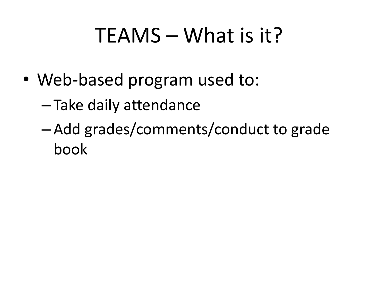# TEAMS – What is it?

- Web-based program used to:
	- Take daily attendance
	- Add grades/comments/conduct to grade book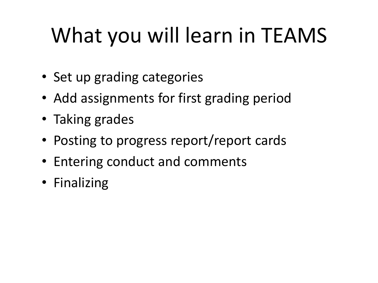# What you will learn in TEAMS

- Set up grading categories
- Add assignments for first grading period
- Taking grades
- Posting to progress report/report cards
- Entering conduct and comments
- Finalizing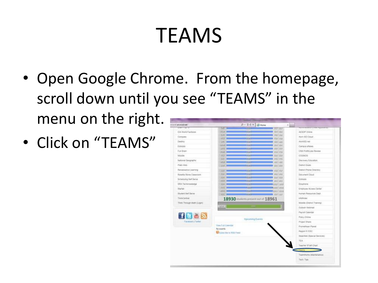# TEAMS

- Open Google Chrome. From the homepage, scroll down until you see "TEAMS" in the menu on the right. **Minister P + BOX** BHome
- Click on "TEAMS"

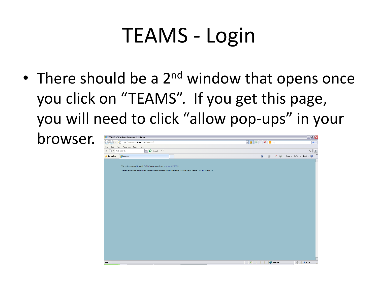#### TEAMS - Login

• There should be a  $2^{nd}$  window that opens once you click on "TEAMS". If you get this page, you will need to click "allow pop-ups" in your

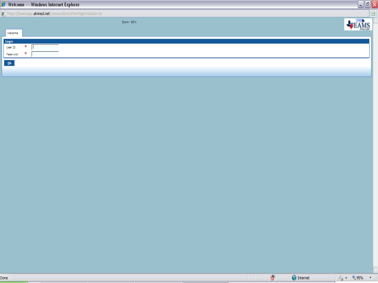|                                    | Welcome - - Windows Internet Explorer                          | Æ | $\Vert \mathbf{r} \Vert \mathbf{x}$ |
|------------------------------------|----------------------------------------------------------------|---|-------------------------------------|
|                                    | https://teamsapp.alvinisd.net/common/EntryPointSignOnAction.do |   | B.                                  |
|                                    | Zoom: 95%                                                      |   |                                     |
|                                    | Welcome                                                        |   |                                     |
| Login                              |                                                                |   |                                     |
|                                    | User ID:<br>ж                                                  |   |                                     |
|                                    | Password:<br>ж                                                 |   |                                     |
| $\underline{\mathbf{0}}\mathbf{k}$ |                                                                |   |                                     |
|                                    |                                                                |   |                                     |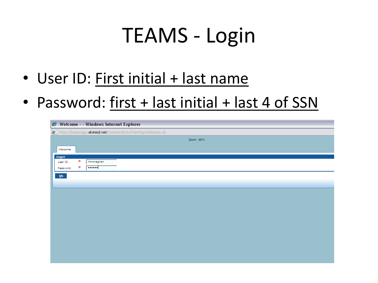#### TEAMS - Login

- User ID: First initial + last name
- Password: first + last initial + last 4 of SSN

|                   |   | Welcome - - Windows Internet Explorer |                                                                |           |  |  |
|-------------------|---|---------------------------------------|----------------------------------------------------------------|-----------|--|--|
|                   |   |                                       | https://teamsapp.alvinisd.net/common/EntryPointSignOnAction.do |           |  |  |
|                   |   |                                       |                                                                | Zoom: 95% |  |  |
| Welcome           |   |                                       |                                                                |           |  |  |
|                   |   |                                       |                                                                |           |  |  |
| Login<br>User ID: | ж | hmonaghan                             |                                                                |           |  |  |
| Password:         | ж |                                       |                                                                |           |  |  |
|                   |   |                                       |                                                                |           |  |  |
| $Q_{\bf k}$       |   |                                       |                                                                |           |  |  |
|                   |   |                                       |                                                                |           |  |  |
|                   |   |                                       |                                                                |           |  |  |
|                   |   |                                       |                                                                |           |  |  |
|                   |   |                                       |                                                                |           |  |  |
|                   |   |                                       |                                                                |           |  |  |
|                   |   |                                       |                                                                |           |  |  |
|                   |   |                                       |                                                                |           |  |  |
|                   |   |                                       |                                                                |           |  |  |
|                   |   |                                       |                                                                |           |  |  |
|                   |   |                                       |                                                                |           |  |  |
|                   |   |                                       |                                                                |           |  |  |
|                   |   |                                       |                                                                |           |  |  |
|                   |   |                                       |                                                                |           |  |  |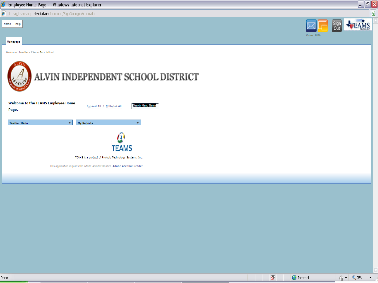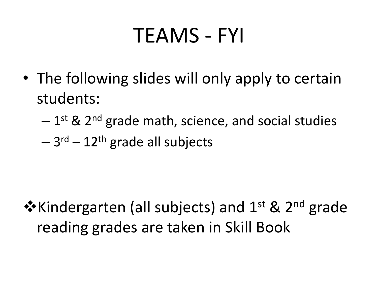#### TEAMS - FYI

- The following slides will only apply to certain students:
	- $-$  1<sup>st</sup> & 2<sup>nd</sup> grade math, science, and social studies
	- 3<sup>rd</sup> 12<sup>th</sup> grade all subjects

❖ Kindergarten (all subjects) and 1<sup>st</sup> & 2<sup>nd</sup> grade reading grades are taken in Skill Book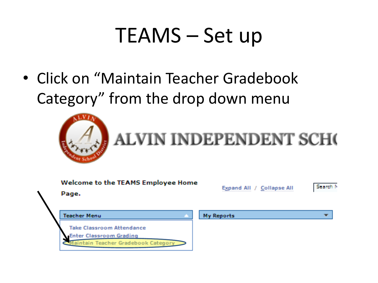• Click on "Maintain Teacher Gradebook Category" from the drop down menu



# **ALVIN INDEPENDENT SCHO**

| <b>Welcome to the TEAMS Employee Home</b><br>Page.                                          | Expand All / Collapse All |  |
|---------------------------------------------------------------------------------------------|---------------------------|--|
| Teacher Menu                                                                                | <b>My Reports</b>         |  |
| Take Classroom Attendance<br>Enter Classroom Grading<br>Maintain Teacher Gradebook Category |                           |  |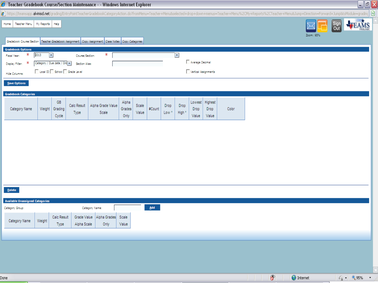| E Teacher Gradebook Course/Section Maintenance - - Windows Internet Explorer                                                                                                                                                                                                     | $\Box$ el                           |
|----------------------------------------------------------------------------------------------------------------------------------------------------------------------------------------------------------------------------------------------------------------------------------|-------------------------------------|
| 2] https://teamsapp. <b>alvinisd.net</b> /grading/EntryPointTeacherGradebookCategoryAction.do?fromMenu=Teacher+Menu&selected+drop+down+menus=Teacher+Menu%2CMy+Reports%2CTeacher+Menu&Jump+Direction=Forward+Jump&toModule=grading                                               |                                     |
| Teacher Menu   My Reports<br>Help<br>Home                                                                                                                                                                                                                                        | Sign<br>Out<br><b>FEAMS</b>         |
| Zoom: 95%<br>Gradebook Course/Section Teacher Gradebook Assignment Copy Assignment Class Notes Copy Categories                                                                                                                                                                   |                                     |
| <b>Gradebook Options</b><br>ж<br>$\overline{\phantom{a}}$<br>2013<br>ж<br>$\overline{\mathcal{F}}$<br>Course/Section:                                                                                                                                                            |                                     |
| <b>Fiscal Year:</b><br>Average Decimal<br>Category / Due date / Ord [m]<br>ж<br><b>Section Alias:</b><br>Display Filter:                                                                                                                                                         |                                     |
| Local ID School Grade Level<br>Vertical Assignments<br><b>Hide Columns:</b>                                                                                                                                                                                                      |                                     |
| Save Options                                                                                                                                                                                                                                                                     |                                     |
| <b>Gradebook Categories</b>                                                                                                                                                                                                                                                      |                                     |
| GB<br>Alpha<br>Lowest Highest<br>Calc Result<br>Alpha Grade Value<br>Scale<br>Drop<br>Drop<br>#Count<br>Category Name<br>Weight Grading<br>Color<br>Grades<br>Drop<br>Drop<br>Value<br>High <sup>*</sup><br>Type<br>Scale<br>Low <sup>*</sup><br>Cycle<br>Only<br>Value<br>Value |                                     |
|                                                                                                                                                                                                                                                                                  |                                     |
|                                                                                                                                                                                                                                                                                  |                                     |
|                                                                                                                                                                                                                                                                                  |                                     |
|                                                                                                                                                                                                                                                                                  |                                     |
|                                                                                                                                                                                                                                                                                  |                                     |
| Delete                                                                                                                                                                                                                                                                           |                                     |
| <b>Available Unassigned Categories</b>                                                                                                                                                                                                                                           |                                     |
| Add<br>Category Name:<br>Category Group:                                                                                                                                                                                                                                         |                                     |
| Calc Result<br>Alpha Grades Scale<br>Grade Value<br>Category Name<br>Weight<br>Value<br>Alpha Scale<br>Only<br>Type                                                                                                                                                              |                                     |
|                                                                                                                                                                                                                                                                                  |                                     |
|                                                                                                                                                                                                                                                                                  |                                     |
|                                                                                                                                                                                                                                                                                  |                                     |
|                                                                                                                                                                                                                                                                                  |                                     |
| <b>O</b> Internet<br>Done                                                                                                                                                                                                                                                        | $\frac{1}{2}$ + $\frac{1}{2}$ 95% + |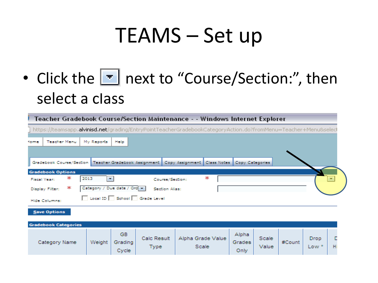• Click the  $\blacksquare$  next to "Course/Section:", then select a class

| Teacher Gradebook Course/Section Maintenance - - Windows Internet Explorer |                               |                         |                             |                                                                                                                         |                         |                |        |                 |   |  |  |
|----------------------------------------------------------------------------|-------------------------------|-------------------------|-----------------------------|-------------------------------------------------------------------------------------------------------------------------|-------------------------|----------------|--------|-----------------|---|--|--|
|                                                                            |                               |                         |                             | https://teamsapp. <b>alvinisd.net</b> /grading/EntryPointTeacherGradebookCategoryAction.do?fromMenu=Teacher+Menu&selecl |                         |                |        |                 |   |  |  |
| <b>Teacher Menu</b><br>forme                                               | My Reports                    | Help                    |                             |                                                                                                                         |                         |                |        |                 |   |  |  |
|                                                                            |                               |                         |                             |                                                                                                                         |                         |                |        |                 |   |  |  |
|                                                                            |                               |                         |                             | Gradebook Course/Section   Teacher Gradebook Assignment   Copy Assignment   Class Notes   Copy Categories               |                         |                |        |                 |   |  |  |
| <b>Gradebook Options</b>                                                   |                               |                         |                             |                                                                                                                         |                         |                |        |                 |   |  |  |
| ж<br><b>Fiscal Year:</b>                                                   | 2013                          | ۰                       | Course/Section:             | ж                                                                                                                       |                         |                |        |                 |   |  |  |
| ж<br>Display Filter:                                                       | Category / Due date / Ord [m] |                         | Section Alias:              |                                                                                                                         |                         |                |        |                 |   |  |  |
| <b>Hide Columns:</b>                                                       |                               |                         | Local ID School Grade Level |                                                                                                                         |                         |                |        |                 |   |  |  |
| Save Options                                                               |                               |                         |                             |                                                                                                                         |                         |                |        |                 |   |  |  |
| <b>Gradebook Categories</b>                                                |                               |                         |                             |                                                                                                                         |                         |                |        |                 |   |  |  |
| Category Name                                                              | Weight                        | GB.<br>Grading<br>Cycle | Calc Result<br><b>Type</b>  | Alpha Grade Value<br>Scale                                                                                              | Alpha<br>Grades<br>Only | Scale<br>Value | #Count | Drop<br>$Low *$ | н |  |  |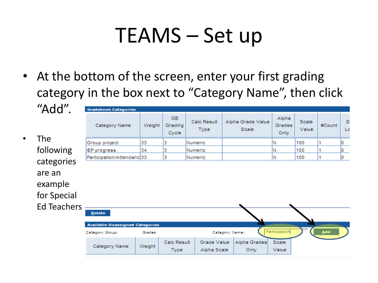- At the bottom of the screen, enter your first grading category in the box next to "Category Name", then click
- The following categorie are an example for Specia Ed Teach

| "Add".                                                 | <b>Gradebook Categories</b>                      |        |                               |                            |                |                            |                         |                       |        |         |
|--------------------------------------------------------|--------------------------------------------------|--------|-------------------------------|----------------------------|----------------|----------------------------|-------------------------|-----------------------|--------|---------|
|                                                        | Category Name                                    | Weight | <b>GB</b><br>Grading<br>Cycle | Calc Result<br><b>Type</b> |                | Alpha Grade Value<br>Scale | Alpha<br>Grades<br>Only | <b>Scale</b><br>Value | #Count | Ð<br>Lo |
| <b>The</b>                                             | Group project                                    | 33     | з                             | Numeric                    |                |                            | Ν                       | 100                   |        |         |
| following                                              | IEP progress                                     | 34     | з                             | Numeric                    |                |                            | Ν                       | 100                   |        |         |
| categories                                             | Participation/Attendanc33                        |        | з                             | Numeric                    |                |                            | N                       | 100                   | 1      | n       |
| are an<br>example<br>for Special<br><b>Ed Teachers</b> |                                                  |        |                               |                            |                |                            |                         |                       |        |         |
|                                                        | Delete<br><b>Available Unassigned Categories</b> |        |                               |                            |                |                            |                         |                       |        |         |
|                                                        | Category Group:                                  | Grades |                               |                            | Category Name: |                            | Participation           |                       | ₽P⊽    |         |
|                                                        | Category Name                                    | Weight | <b>Calc Result</b><br>Type    | Grade Value<br>Alpha Scale |                | Alpha Grades<br>Only       | Scale<br>Value          |                       |        |         |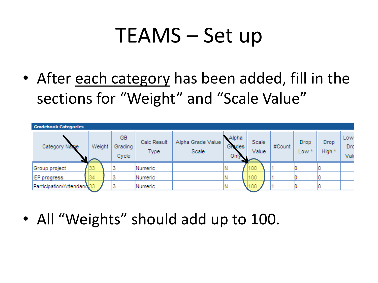• After each category has been added, fill in the sections for "Weight" and "Scale Value"



• All "Weights" should add up to 100.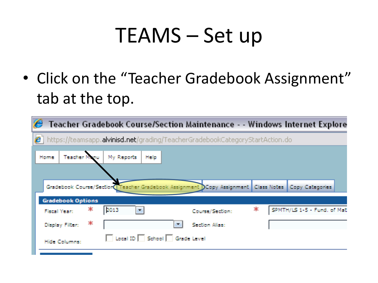• Click on the "Teacher Gradebook Assignment" tab at the top.

| e                                                                                                      |                      |                             | Teacher Gradebook Course/Section Maintenance - - Windows Internet Explore                              |    |                             |  |
|--------------------------------------------------------------------------------------------------------|----------------------|-----------------------------|--------------------------------------------------------------------------------------------------------|----|-----------------------------|--|
| $\boldsymbol{e}$ https://teamsapp. <b>alvinisd.net</b> /grading/TeacherGradebookCategoryStartAction.do |                      |                             |                                                                                                        |    |                             |  |
| Teacher M<br>Home                                                                                      | My Reports           | Hielp                       |                                                                                                        |    |                             |  |
|                                                                                                        |                      |                             |                                                                                                        |    |                             |  |
|                                                                                                        |                      |                             | Gradebook Course/Section Teacher Gradebook Assignment DCopy Assignment   Class Notes   Copy Categories |    |                             |  |
| <b>Gradebook Options</b>                                                                               |                      |                             |                                                                                                        |    |                             |  |
| Ж.<br><b>Fiscal Year:</b>                                                                              | 2013<br>$\mathbf{w}$ |                             | Course/Section:                                                                                        | Ж. | SPMTH/LS 1-5 - Fund, of Mat |  |
| - 190<br>Display Filter:                                                                               |                      | $\overline{\phantom{a}}$    | <b>Section Alias:</b>                                                                                  |    |                             |  |
| Hide Columns:                                                                                          |                      | Local ID School Grade Level |                                                                                                        |    |                             |  |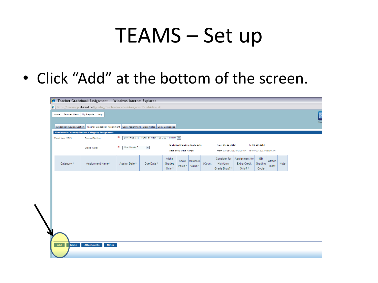• Click "Add" at the bottom of the screen.

|    | e<br>Teacher Gradebook Assignment - - Windows Internet Explorer                           |                                                                                                           |                   |                |        |                       |                               |        |                 |                                                 |               |                |      |  |     |
|----|-------------------------------------------------------------------------------------------|-----------------------------------------------------------------------------------------------------------|-------------------|----------------|--------|-----------------------|-------------------------------|--------|-----------------|-------------------------------------------------|---------------|----------------|------|--|-----|
|    |                                                                                           | e https://teamsapp. <b>alvinisd.net</b> /grading/TeacherGradebookAssignmentStartAction.do                 |                   |                |        |                       |                               |        |                 |                                                 |               |                |      |  |     |
|    | <b>Teacher Menu</b><br>Home                                                               | My Reports<br>Help                                                                                        |                   |                |        |                       |                               |        |                 |                                                 |               |                |      |  | D   |
|    |                                                                                           |                                                                                                           |                   |                |        |                       |                               |        |                 |                                                 |               |                |      |  | Zoo |
|    |                                                                                           | Gradebook Course/Section   Teacher Gradebook Assignment   Copy Assignment   Class Notes   Copy Categories |                   |                |        |                       |                               |        |                 |                                                 |               |                |      |  |     |
|    | <b>Gradebook Course/Section Category Assignment</b>                                       |                                                                                                           |                   |                |        |                       |                               |        |                 |                                                 |               |                |      |  |     |
|    | * EPMTH/LS 1-5 - Fund. of Math - S1, S2 - T/MTH  <br>Fiscal Year: 2013<br>Course/Section: |                                                                                                           |                   |                |        |                       |                               |        |                 |                                                 |               |                |      |  |     |
|    |                                                                                           | Grade Type:                                                                                               | ж<br>Nine Weeks 3 | $\mathbb{R}^n$ |        |                       | Gradebook Grading Cycle Date  |        | From 01-22-2013 |                                                 | To 03-28-2013 |                |      |  |     |
|    |                                                                                           |                                                                                                           |                   |                |        | Data Entry Date Range |                               |        |                 | From 03-28-2013 01:00 AM To 04-03-2013 09:00 AM |               |                |      |  |     |
|    |                                                                                           |                                                                                                           |                   |                | Alpha  |                       |                               |        | Consider for    | Assignment for                                  | GB            |                |      |  |     |
|    | Category *                                                                                | Assignment Name*                                                                                          | Assign Date *     | Due Date *     | Grades | Scale<br>Value *      | Maximum<br>Value <sup>*</sup> | #Count | High/Low        | Extra Credit                                    | Grading       | Attach<br>ment | Note |  |     |
|    |                                                                                           |                                                                                                           |                   |                | Only * |                       |                               |        | Grade Drop?*    | Only? *                                         | Cycle         |                |      |  |     |
|    |                                                                                           |                                                                                                           |                   |                |        |                       |                               |        |                 |                                                 |               |                |      |  |     |
|    |                                                                                           |                                                                                                           |                   |                |        |                       |                               |        |                 |                                                 |               |                |      |  |     |
|    |                                                                                           |                                                                                                           |                   |                |        |                       |                               |        |                 |                                                 |               |                |      |  |     |
|    |                                                                                           |                                                                                                           |                   |                |        |                       |                               |        |                 |                                                 |               |                |      |  |     |
|    |                                                                                           |                                                                                                           |                   |                |        |                       |                               |        |                 |                                                 |               |                |      |  |     |
|    |                                                                                           |                                                                                                           |                   |                |        |                       |                               |        |                 |                                                 |               |                |      |  |     |
|    |                                                                                           |                                                                                                           |                   |                |        |                       |                               |        |                 |                                                 |               |                |      |  |     |
|    |                                                                                           |                                                                                                           |                   |                |        |                       |                               |        |                 |                                                 |               |                |      |  |     |
|    |                                                                                           |                                                                                                           |                   |                |        |                       |                               |        |                 |                                                 |               |                |      |  |     |
| دە |                                                                                           |                                                                                                           |                   |                |        |                       |                               |        |                 |                                                 |               |                |      |  |     |
|    |                                                                                           |                                                                                                           |                   |                |        |                       |                               |        |                 |                                                 |               |                |      |  |     |
|    | Add<br>Delete                                                                             | Attachments<br>Notes                                                                                      |                   |                |        |                       |                               |        |                 |                                                 |               |                |      |  |     |
|    |                                                                                           |                                                                                                           |                   |                |        |                       |                               |        |                 |                                                 |               |                |      |  |     |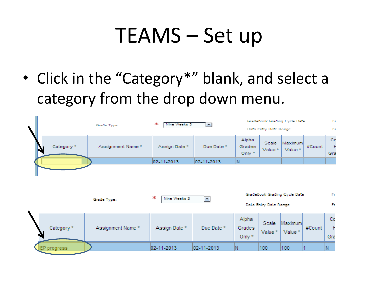• Click in the "Category\*" blank, and select a category from the drop down menu.

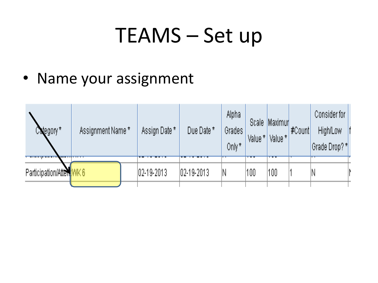• Name your assignment

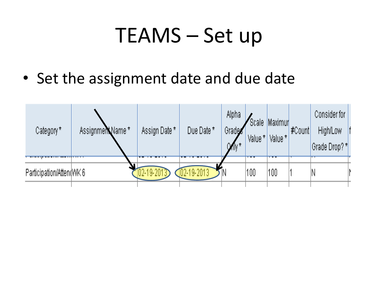• Set the assignment date and due date

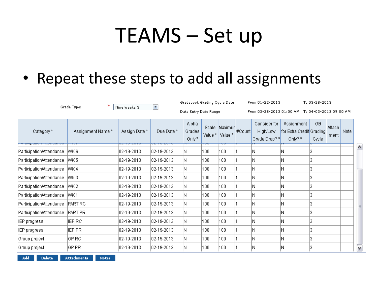#### • Repeat these steps to add all assignments

|                                                   | ж<br>Grade Type:                  | Nine Weeks 3                            | $\overline{\phantom{a}}$ | Gradebook Grading Cycle Date |         |                                |        | From 01-22-2013                           |                                                   | To 03-28-2013                                   |                |      |                  |
|---------------------------------------------------|-----------------------------------|-----------------------------------------|--------------------------|------------------------------|---------|--------------------------------|--------|-------------------------------------------|---------------------------------------------------|-------------------------------------------------|----------------|------|------------------|
|                                                   |                                   |                                         |                          | Data Entry Date Range        |         |                                |        |                                           |                                                   | From 03-28-2013 01:00 AM To 04-03-2013 09:00 AM |                |      |                  |
| Category *<br><b>WEDNER WEDNER AND THE WEDNER</b> | Assignment Name *<br><del>.</del> | Assign Date *<br><del>un nu nu nu</del> | Due Date *<br>ರಾರ್ಮ      | Alpha<br>Grades<br>Only*     | Value * | Scale Maximur<br>Value *<br>তত | #Count | Consider for<br>High/Low<br>Grade Drop? * | Assignment<br>for Extra Credit Grading<br>Only? * | GB<br>Cycle                                     | Attach<br>ment | Note |                  |
| Participation/Attendance                          | WK 6                              | 02-19-2013                              | 102-19-2013              | N                            | 100     | 100                            |        | Ν                                         | Ν                                                 |                                                 |                |      | $\blacktriangle$ |
| Participation/Attendance                          | WK 5                              | 02-19-2013                              | 02-19-2013               | N                            | 100     | 100                            |        | Ν                                         | Ν                                                 |                                                 |                |      |                  |
| Participation/Attendance                          | WK 4                              | 02-19-2013                              | $ 02 - 19 - 2013 $       | N                            | 100     | 100                            |        | Ν                                         | Ν                                                 |                                                 |                |      |                  |
| Participation/Attendance                          | WK 3                              | 02-19-2013                              | $ 02 - 19 - 2013 $       | N                            | 100     | 100                            |        | Ν                                         | Ν                                                 |                                                 |                |      |                  |
| Participation/Attendance                          | WK 2                              | 02-19-2013                              | 02-19-2013               | N                            | 100     | 100                            |        | Ν                                         | Ν                                                 |                                                 |                |      |                  |
| Participation/Attendance                          | WK 1                              | 02-19-2013                              | 02-19-2013               | N                            | 100     | 100                            |        | Ν                                         | Ν                                                 |                                                 |                |      |                  |
| Participation/Attendance                          | PART RC                           | 02-19-2013                              | $ 02 - 19 - 2013 $       | N                            | 100     | 100                            |        | N                                         | Ν                                                 |                                                 |                |      |                  |
| Participation/Attendance                          | <b>PART PR</b>                    | 02-19-2013                              | 02-19-2013               | N                            | 100     | 100                            |        | Ν                                         | Ν                                                 |                                                 |                |      |                  |
| IEP progress                                      | IEP RC                            | $ 02 - 19 - 2013 $                      | $ 02 - 19 - 2013 $       | N                            | 100     | 100                            |        | Ν                                         | Ν                                                 |                                                 |                |      |                  |
| IEP progress                                      | IEP PR                            | $ 02 - 19 - 2013 $                      | 02-19-2013               | N                            | 100     | 100                            |        | Ν                                         | N                                                 |                                                 |                |      |                  |
| Group project                                     | IGP RC                            | $ 02 - 19 - 2013 $                      | 02-19-2013               | N                            | 100     | 100                            |        | Ν                                         | Ν                                                 |                                                 |                |      |                  |
| Group project                                     | IGP PR                            | $ 02 - 19 - 2013 $                      | $ 02 - 19 - 2013 $       | N                            | 100     | 100                            |        | N                                         | Ν                                                 |                                                 |                |      | ٧                |

Add Delete **Attachments**  $Note:$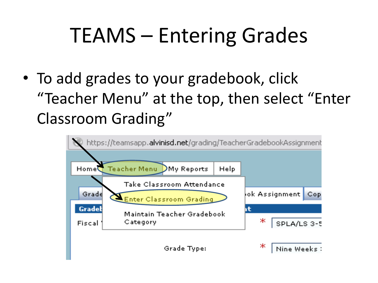• To add grades to your gradebook, click "Teacher Menu" at the top, then select "Enter Classroom Grading"

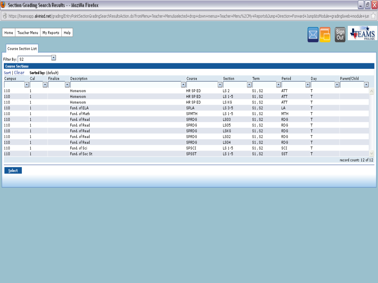#### Section Grading Search Results - - Mozilla Firefox

@https://teamsapp.a<mark>lvinisd.net/</mark>grading/EntryPointSectionGradingSearchResultsAction.do?fromMenu=Teacher+Menu&selected+drop+down+menus=Teacher+Menu%2CMy+Reports&Jump+Direction=Forward+Jump&toModule=grading&web+module+jum

Teacher Menu | My Reports | Help Home

| <b>Course Section List</b> |     |                      |                          |                          |                      |                |                |                     |                                                                                                                                                                                                                                                                                                                                                                                                                                                                                            |        |
|----------------------------|-----|----------------------|--------------------------|--------------------------|----------------------|----------------|----------------|---------------------|--------------------------------------------------------------------------------------------------------------------------------------------------------------------------------------------------------------------------------------------------------------------------------------------------------------------------------------------------------------------------------------------------------------------------------------------------------------------------------------------|--------|
| Filter By:   S2            |     |                      |                          |                          |                      |                |                |                     |                                                                                                                                                                                                                                                                                                                                                                                                                                                                                            |        |
| <b>Course Sections</b>     |     |                      |                          |                          |                      |                |                |                     |                                                                                                                                                                                                                                                                                                                                                                                                                                                                                            |        |
| Sort   Clear               |     | Sorted by: (default) |                          |                          |                      |                |                |                     |                                                                                                                                                                                                                                                                                                                                                                                                                                                                                            |        |
| Campus                     | Cal | Finalize             | Description              | Course                   | Section              | Term           | Period         | Day                 | Parent/Child                                                                                                                                                                                                                                                                                                                                                                                                                                                                               |        |
|                            | ᆀ   | ᆀ                    | $\vert \mathbf{v} \vert$ | $\vert \mathbf{v} \vert$ | $\blacktriangledown$ | $\pmb{\nabla}$ | $\overline{ }$ | $\vert \cdot \vert$ | $\overline{\mathbf{v}}$                                                                                                                                                                                                                                                                                                                                                                                                                                                                    | IV.    |
| 110                        |     |                      | Homeroom                 | HR SP ED                 | LS <sub>2</sub>      | S1, S2         | ATT            |                     |                                                                                                                                                                                                                                                                                                                                                                                                                                                                                            |        |
| 110                        |     |                      | Homeroom                 | HR SP ED                 | $LS$ 1-5             | S1, S2         | ATT            |                     |                                                                                                                                                                                                                                                                                                                                                                                                                                                                                            |        |
| 110                        |     |                      | Homeroom                 | HR SP ED                 | LS KG                | S1, S2         | AΤΤ            |                     |                                                                                                                                                                                                                                                                                                                                                                                                                                                                                            |        |
| 110                        |     |                      | Fund. of ELA             | <b>SPLA</b>              | LS 3-5               | S1, S2         | LA             |                     |                                                                                                                                                                                                                                                                                                                                                                                                                                                                                            |        |
| 110                        |     |                      | Fund, of Math            | SPMTH                    | $LS$ 1-5             | S1, S2         | MTH            |                     |                                                                                                                                                                                                                                                                                                                                                                                                                                                                                            |        |
| 110                        |     |                      | Fund, of Read            | SPRDG                    | LS03                 | S1, S2         | <b>RDG</b>     |                     |                                                                                                                                                                                                                                                                                                                                                                                                                                                                                            |        |
| 110                        |     |                      | Fund, of Read            | SPRDG                    | LS05                 | S1, S2         | <b>RDG</b>     |                     |                                                                                                                                                                                                                                                                                                                                                                                                                                                                                            |        |
| 110                        |     |                      | Fund, of Read            | SPRDG                    | <b>LSKG</b>          | S1, S2         | <b>RDG</b>     |                     |                                                                                                                                                                                                                                                                                                                                                                                                                                                                                            |        |
| 110                        |     |                      | Fund, of Read            | SPRDG                    | LS02                 | S1, S2         | <b>RDG</b>     |                     |                                                                                                                                                                                                                                                                                                                                                                                                                                                                                            |        |
| 110                        |     |                      | Fund, of Read            | SPRDG                    | LS04                 | \$1, \$2       | RDG.           |                     |                                                                                                                                                                                                                                                                                                                                                                                                                                                                                            |        |
| 110                        |     |                      | Fund, of Sci             | SPSCI                    | $LS$ 1-5             | $\$1, \$2$     | SCI            |                     |                                                                                                                                                                                                                                                                                                                                                                                                                                                                                            |        |
| 110                        |     |                      | Fund, of Soc St          | SPSST                    | $LS$ 1-5             | S1, S2         | SST            |                     |                                                                                                                                                                                                                                                                                                                                                                                                                                                                                            | $\vee$ |
|                            |     |                      |                          |                          |                      |                |                |                     | $\blacksquare$ $\blacksquare$ $\blacksquare$ $\blacksquare$ $\blacksquare$ $\blacksquare$ $\blacksquare$ $\blacksquare$ $\blacksquare$ $\blacksquare$ $\blacksquare$ $\blacksquare$ $\blacksquare$ $\blacksquare$ $\blacksquare$ $\blacksquare$ $\blacksquare$ $\blacksquare$ $\blacksquare$ $\blacksquare$ $\blacksquare$ $\blacksquare$ $\blacksquare$ $\blacksquare$ $\blacksquare$ $\blacksquare$ $\blacksquare$ $\blacksquare$ $\blacksquare$ $\blacksquare$ $\blacksquare$ $\blacks$ |        |

Select

#### EAMS Sign<br>Out

 $\Box$ e $\overline{X}$ 

record count: 12 of 12

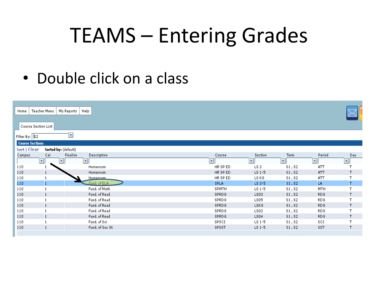#### • Double click on a class

| <b>Course Section List</b><br>$\overline{\phantom{a}}$<br>Filter By: $ 82 $<br><b>Course Sections</b><br>Sort   Clear<br>Sorted by: (default)<br>Cal<br>Finalize<br>Description<br>Period<br>Day<br>Campus<br>Course<br>Section<br>Term<br>$\vert \cdot \vert$<br>$\vert \cdot \vert$<br>$\mathbf{v}$<br>$\boldsymbol{\tau}$<br>$\blacktriangledown$<br>$\vert \cdot \vert$<br>$\vert \cdot \vert$<br>$\mathbf{v}$<br>110<br>HR SP ED<br>LS <sub>2</sub><br>S1, S2<br>ATT<br>Homeroom<br>110<br>$\mathbf{1}$<br>HR SP ED<br>Τ<br>$LS$ $1-5$<br>ATT<br>Homeroom<br>S1, S2<br>T<br>HR SP ED<br>LS KG<br>ATT<br>110<br>Homeroom.<br>S1, S2<br>1<br>T<br>Fund. of ELA<br>110<br><b>SPLA</b><br>LS 3-5<br>LA.<br>1<br>S1, S2<br>Fund, of Math<br>T<br>110<br>SPMTH<br>S1, S2<br><b>MTH</b><br>$LS$ 1-5<br>Fund, of Read<br>110<br>SPRDG<br>RDG.<br>т<br>LS03<br>S1, S2<br>$\mathbf{1}$<br>Fund, of Read<br>T<br>110<br>SPRDG<br>S1, S2<br>RDG<br>LS05<br>Fund, of Read<br>110<br>Τ<br>SPRDG<br>RDG.<br><b>LSKG</b><br>S1, S2<br>Fund, of Read<br>T<br>SPRDG<br>110<br>LS02<br>S1, S2<br><b>RDG</b><br>Fund, of Read<br>Τ<br>110<br>SPRDG<br>LS04<br>S1, S2<br>RDG.<br>$\mathbf{1}$<br>Fund, of Sci<br>T<br>SPSCI<br>$LS$ $1-5$<br>SCI<br>110<br>S1, S2<br>T<br>Fund, of Soc St<br>SST<br>110<br>SPSST<br>$LS$ $1-5$<br>S1, S2 | Home | Teacher Menu | My Reports | Help |  |  |  |
|--------------------------------------------------------------------------------------------------------------------------------------------------------------------------------------------------------------------------------------------------------------------------------------------------------------------------------------------------------------------------------------------------------------------------------------------------------------------------------------------------------------------------------------------------------------------------------------------------------------------------------------------------------------------------------------------------------------------------------------------------------------------------------------------------------------------------------------------------------------------------------------------------------------------------------------------------------------------------------------------------------------------------------------------------------------------------------------------------------------------------------------------------------------------------------------------------------------------------------------------------------------------------------------------------------------------------|------|--------------|------------|------|--|--|--|
|                                                                                                                                                                                                                                                                                                                                                                                                                                                                                                                                                                                                                                                                                                                                                                                                                                                                                                                                                                                                                                                                                                                                                                                                                                                                                                                          |      |              |            |      |  |  |  |
|                                                                                                                                                                                                                                                                                                                                                                                                                                                                                                                                                                                                                                                                                                                                                                                                                                                                                                                                                                                                                                                                                                                                                                                                                                                                                                                          |      |              |            |      |  |  |  |
|                                                                                                                                                                                                                                                                                                                                                                                                                                                                                                                                                                                                                                                                                                                                                                                                                                                                                                                                                                                                                                                                                                                                                                                                                                                                                                                          |      |              |            |      |  |  |  |
|                                                                                                                                                                                                                                                                                                                                                                                                                                                                                                                                                                                                                                                                                                                                                                                                                                                                                                                                                                                                                                                                                                                                                                                                                                                                                                                          |      |              |            |      |  |  |  |
|                                                                                                                                                                                                                                                                                                                                                                                                                                                                                                                                                                                                                                                                                                                                                                                                                                                                                                                                                                                                                                                                                                                                                                                                                                                                                                                          |      |              |            |      |  |  |  |
|                                                                                                                                                                                                                                                                                                                                                                                                                                                                                                                                                                                                                                                                                                                                                                                                                                                                                                                                                                                                                                                                                                                                                                                                                                                                                                                          |      |              |            |      |  |  |  |
|                                                                                                                                                                                                                                                                                                                                                                                                                                                                                                                                                                                                                                                                                                                                                                                                                                                                                                                                                                                                                                                                                                                                                                                                                                                                                                                          |      |              |            |      |  |  |  |
|                                                                                                                                                                                                                                                                                                                                                                                                                                                                                                                                                                                                                                                                                                                                                                                                                                                                                                                                                                                                                                                                                                                                                                                                                                                                                                                          |      |              |            |      |  |  |  |
|                                                                                                                                                                                                                                                                                                                                                                                                                                                                                                                                                                                                                                                                                                                                                                                                                                                                                                                                                                                                                                                                                                                                                                                                                                                                                                                          |      |              |            |      |  |  |  |
|                                                                                                                                                                                                                                                                                                                                                                                                                                                                                                                                                                                                                                                                                                                                                                                                                                                                                                                                                                                                                                                                                                                                                                                                                                                                                                                          |      |              |            |      |  |  |  |
|                                                                                                                                                                                                                                                                                                                                                                                                                                                                                                                                                                                                                                                                                                                                                                                                                                                                                                                                                                                                                                                                                                                                                                                                                                                                                                                          |      |              |            |      |  |  |  |
|                                                                                                                                                                                                                                                                                                                                                                                                                                                                                                                                                                                                                                                                                                                                                                                                                                                                                                                                                                                                                                                                                                                                                                                                                                                                                                                          |      |              |            |      |  |  |  |
|                                                                                                                                                                                                                                                                                                                                                                                                                                                                                                                                                                                                                                                                                                                                                                                                                                                                                                                                                                                                                                                                                                                                                                                                                                                                                                                          |      |              |            |      |  |  |  |
|                                                                                                                                                                                                                                                                                                                                                                                                                                                                                                                                                                                                                                                                                                                                                                                                                                                                                                                                                                                                                                                                                                                                                                                                                                                                                                                          |      |              |            |      |  |  |  |
|                                                                                                                                                                                                                                                                                                                                                                                                                                                                                                                                                                                                                                                                                                                                                                                                                                                                                                                                                                                                                                                                                                                                                                                                                                                                                                                          |      |              |            |      |  |  |  |
|                                                                                                                                                                                                                                                                                                                                                                                                                                                                                                                                                                                                                                                                                                                                                                                                                                                                                                                                                                                                                                                                                                                                                                                                                                                                                                                          |      |              |            |      |  |  |  |
|                                                                                                                                                                                                                                                                                                                                                                                                                                                                                                                                                                                                                                                                                                                                                                                                                                                                                                                                                                                                                                                                                                                                                                                                                                                                                                                          |      |              |            |      |  |  |  |
|                                                                                                                                                                                                                                                                                                                                                                                                                                                                                                                                                                                                                                                                                                                                                                                                                                                                                                                                                                                                                                                                                                                                                                                                                                                                                                                          |      |              |            |      |  |  |  |
|                                                                                                                                                                                                                                                                                                                                                                                                                                                                                                                                                                                                                                                                                                                                                                                                                                                                                                                                                                                                                                                                                                                                                                                                                                                                                                                          |      |              |            |      |  |  |  |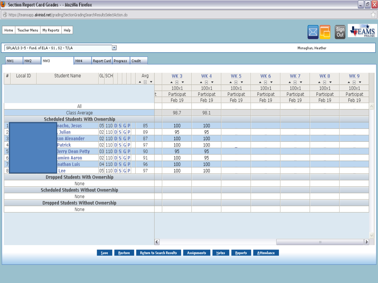| Section Report Card Grades - - Mozilla Firefox                                                                                                                                 |                                                             |                                                                                  |                                                                      |                                                                              |                                                                       |                                                                             |                                                             | <u>L FR</u>                                                                      |
|--------------------------------------------------------------------------------------------------------------------------------------------------------------------------------|-------------------------------------------------------------|----------------------------------------------------------------------------------|----------------------------------------------------------------------|------------------------------------------------------------------------------|-----------------------------------------------------------------------|-----------------------------------------------------------------------------|-------------------------------------------------------------|----------------------------------------------------------------------------------|
| https://teamsapp.alvinisd.net/grading/SectionGradingSearchResultsSelectAction.do                                                                                               |                                                             |                                                                                  |                                                                      |                                                                              |                                                                       |                                                                             |                                                             |                                                                                  |
| Teacher Menu   My Reports   Help<br>Home                                                                                                                                       |                                                             |                                                                                  |                                                                      |                                                                              |                                                                       |                                                                             |                                                             | Sign<br>Out                                                                      |
| $\overline{\phantom{a}}$<br>SPLA/LS 3-5 - Fund. of ELA - S1, S2 - T/LA                                                                                                         |                                                             |                                                                                  |                                                                      |                                                                              |                                                                       |                                                                             | Monaghan, Heather                                           |                                                                                  |
| Report Card Progress Credit<br>NW <sub>2</sub><br>NW3<br>NW <sub>4</sub><br>NW1                                                                                                |                                                             |                                                                                  |                                                                      |                                                                              |                                                                       |                                                                             |                                                             |                                                                                  |
| #<br>Local ID<br><b>Student Name</b><br> G L  SCH                                                                                                                              | Avg<br>$\blacktriangle \quad \Box \quad \blacktriangledown$ | WK <sub>3</sub><br>$\blacktriangle \quad \Box \quad \blacktriangledown$<br>100x1 | WK4<br>$\blacktriangle \quad \Box \quad \blacktriangledown$<br>100x1 | <b>WK 5</b><br>$\blacktriangle \quad \Box \quad \blacktriangledown$<br>100x1 | WK 6<br>$\blacktriangle \quad \Box \quad \blacktriangledown$<br>100x1 | <b>WK7</b><br>$\blacktriangle \quad \Box \quad \blacktriangledown$<br>100x1 | WK8<br>$\blacktriangle \boxdot \blacktriangledown$<br>100x1 | WK <sub>9</sub><br>$\blacktriangle \quad \Box \quad \blacktriangledown$<br>100x1 |
| $\mathsf{All}$                                                                                                                                                                 |                                                             | Participat<br>Feb 19                                                             | Participat<br>Feb 19                                                 | Participat<br>Feb 19                                                         | Participat<br>Feb 19                                                  | Participat<br>Feb 19                                                        | Participat<br>Feb 19                                        | Participat<br>Feb 19                                                             |
| Class Average                                                                                                                                                                  |                                                             | 98.7                                                                             | 98.1                                                                 |                                                                              |                                                                       |                                                                             |                                                             |                                                                                  |
| <b>Scheduled Students With Ownership</b>                                                                                                                                       |                                                             |                                                                                  |                                                                      |                                                                              |                                                                       |                                                                             |                                                             |                                                                                  |
| nacho, Jesus<br>05 110 0 S G P                                                                                                                                                 | 85                                                          | 100                                                                              | 100                                                                  |                                                                              |                                                                       |                                                                             |                                                             |                                                                                  |
| $\frac{1}{2}$ $\frac{1}{6}$ $\frac{1}{6}$ $\frac{1}{7}$ $\frac{1}{6}$ $\frac{1}{7}$<br><b>Julian</b><br>$\vert$ 02 $\vert$ 110 $\vert$ D $\vert$ S $\vert$ G $\vert$ P $\vert$ | 89                                                          | 95                                                                               | 95                                                                   |                                                                              |                                                                       |                                                                             |                                                             |                                                                                  |
| son Alexander<br> 02 110 0 S G P                                                                                                                                               | 87                                                          | 100                                                                              | 100                                                                  |                                                                              |                                                                       |                                                                             |                                                             |                                                                                  |
| <b>Patrick</b><br>$\left  02\right  110\left  \mathbf{D}\right  \mathbf{S}\left  \mathbf{G}\right  \mathbf{P}\right $                                                          | 97                                                          | 100                                                                              | 100                                                                  |                                                                              |                                                                       |                                                                             |                                                             |                                                                                  |
| 03 110 0 S G P <br>Jerry Dean Petty                                                                                                                                            | 90 <sub>1</sub>                                             | 95                                                                               | 95                                                                   |                                                                              |                                                                       |                                                                             |                                                             |                                                                                  |
| $\left  02\right  110\left  \mathbf{D}\right  \mathbf{S}\left  \mathbf{G}\right  \mathbf{P}\right $<br>amien Aaron                                                             | 91                                                          | 100                                                                              | 95                                                                   |                                                                              |                                                                       |                                                                             |                                                             |                                                                                  |
| nathan Luis<br> 04 110 0 S G P                                                                                                                                                 | 96                                                          | 100                                                                              | 100                                                                  |                                                                              |                                                                       |                                                                             |                                                             |                                                                                  |
| $\overline{8}$<br>$ 05 110 $ D $ S $ G $ P $<br>Lee                                                                                                                            | 97                                                          | 100                                                                              | 100                                                                  |                                                                              |                                                                       |                                                                             |                                                             |                                                                                  |
| <b>Dropped Students With Ownership</b>                                                                                                                                         |                                                             |                                                                                  |                                                                      |                                                                              |                                                                       |                                                                             |                                                             |                                                                                  |
| None                                                                                                                                                                           |                                                             |                                                                                  |                                                                      |                                                                              |                                                                       |                                                                             |                                                             |                                                                                  |
| <b>Scheduled Students Without Ownership</b>                                                                                                                                    |                                                             |                                                                                  |                                                                      |                                                                              |                                                                       |                                                                             |                                                             |                                                                                  |
| None                                                                                                                                                                           |                                                             |                                                                                  |                                                                      |                                                                              |                                                                       |                                                                             |                                                             |                                                                                  |
| <b>Dropped Students Without Ownership</b>                                                                                                                                      |                                                             |                                                                                  |                                                                      |                                                                              |                                                                       |                                                                             |                                                             |                                                                                  |
| None                                                                                                                                                                           |                                                             |                                                                                  |                                                                      |                                                                              |                                                                       |                                                                             |                                                             |                                                                                  |
|                                                                                                                                                                                | $\overline{\left( \cdot \right)}$                           |                                                                                  |                                                                      |                                                                              |                                                                       |                                                                             | $\mathbb{H}\mathbb{H}$                                      | $\blacktriangleright$                                                            |
| Restore                                                                                                                                                                        | <b>Return to Search Results</b>                             |                                                                                  | <b>Assignments</b><br>Note:                                          |                                                                              | <b>Attendance</b>                                                     |                                                                             |                                                             |                                                                                  |
| <b>Save</b>                                                                                                                                                                    |                                                             |                                                                                  |                                                                      | Reports                                                                      |                                                                       |                                                                             |                                                             |                                                                                  |
|                                                                                                                                                                                |                                                             |                                                                                  |                                                                      |                                                                              |                                                                       |                                                                             |                                                             |                                                                                  |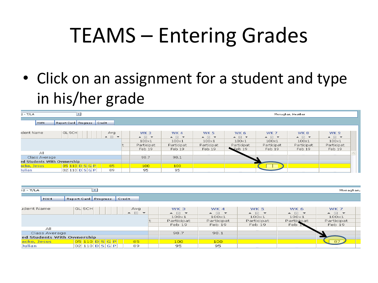• Click on an assignment for a student and type in his/her grade

| $2 - T/LA$                 | $\overline{\phantom{a}}$                     |                                                 |                                                 |                                                |                                                        |                                                 |                                                 | Monaghan, Heather                               |                                    |  |
|----------------------------|----------------------------------------------|-------------------------------------------------|-------------------------------------------------|------------------------------------------------|--------------------------------------------------------|-------------------------------------------------|-------------------------------------------------|-------------------------------------------------|------------------------------------|--|
| NW4                        | Report Card Progress                         | Credit                                          |                                                 |                                                |                                                        |                                                 |                                                 |                                                 |                                    |  |
| ident Name                 | <b>SLISCH</b>                                |                                                 |                                                 |                                                |                                                        |                                                 |                                                 |                                                 |                                    |  |
|                            |                                              | Avg.<br>$\triangle$ $\Box$ $\blacktriangledown$ | WK 3<br>$\triangle$ $\Box$ $\blacktriangledown$ | WK4<br>$\triangle$ $\Box$ $\blacktriangledown$ | <b>WK 5</b><br>$\triangle$ $\Box$ $\blacktriangledown$ | WK 6<br>$\triangle$ $\Box$ $\blacktriangledown$ | WK 7<br>$\triangle$ $\Box$ $\blacktriangledown$ | WK 8<br>$\triangle$ $\Box$ $\blacktriangledown$ | WK 9<br>$\bullet$ $\Box$ $\bullet$ |  |
|                            |                                              |                                                 | $100\times1$                                    | $100\times1$                                   | $100\times1$                                           | 100×1                                           | $100\times1$                                    | $100\times1$                                    | $100\times1$                       |  |
|                            |                                              |                                                 | Participat                                      | Participat                                     | Participat                                             | Participat                                      | Participat                                      | Participat                                      | Participat                         |  |
|                            |                                              |                                                 | Feb 19                                          | Feb 19                                         | Feb 19                                                 | $\blacktriangleright$ Feb 19                    | Feb 19                                          | Feb 19                                          | Feb 19                             |  |
| All                        |                                              |                                                 |                                                 |                                                |                                                        |                                                 |                                                 |                                                 |                                    |  |
| Class Average              |                                              |                                                 | 98.7                                            | 98.1                                           |                                                        |                                                 |                                                 |                                                 |                                    |  |
| ed Students With Ownership |                                              |                                                 |                                                 |                                                |                                                        |                                                 |                                                 |                                                 |                                    |  |
| acho, Jesus I              | $\boxed{05}$ 110 D $\boxed{S}$ $\boxed{G}$ P | 85                                              | 100                                             | 100                                            |                                                        |                                                 |                                                 |                                                 |                                    |  |
| Julian                     | 02  110  D  S  G  P                          | 89                                              | 95                                              | 95                                             |                                                        |                                                 |                                                 |                                                 |                                    |  |

| $32 - T/LA$                | $\blacksquare$                                                                  |                                 |                                                                  |                                                                                              |                                                              |                                                     | Monaghan,                                                                                    |  |
|----------------------------|---------------------------------------------------------------------------------|---------------------------------|------------------------------------------------------------------|----------------------------------------------------------------------------------------------|--------------------------------------------------------------|-----------------------------------------------------|----------------------------------------------------------------------------------------------|--|
| NW4                        | Report Card Progress                                                            | Credit                          |                                                                  |                                                                                              |                                                              |                                                     |                                                                                              |  |
| udent Name                 | <b>GLISCHI</b>                                                                  | Avg<br>$\bullet$ $\Box$ $\star$ | WK <sub>3</sub><br>▲ 日 ▼<br>$100\times1$<br>Participat<br>Feb 19 | WK 4<br>$\blacktriangle$ $\Box$ $\blacktriangledown$<br>$100\times1$<br>Participat<br>Feb 19 | <b>WK 5</b><br>▲ 日 ▼<br>$100\times1$<br>Participat<br>Feb 19 | WK 6<br>▲ 日 ▼<br>$100\times1$<br>Participat<br>Feb. | WK 7<br>$\blacktriangle$ $\Box$ $\blacktriangledown$<br>$100\times1$<br>Participat<br>Feb 19 |  |
| ΑII                        |                                                                                 |                                 |                                                                  |                                                                                              |                                                              |                                                     |                                                                                              |  |
| Class Average              |                                                                                 |                                 | 98.7                                                             | 98.1                                                                                         |                                                              |                                                     |                                                                                              |  |
| ed Students With Ownership |                                                                                 |                                 |                                                                  |                                                                                              |                                                              |                                                     |                                                                                              |  |
| acho, Jesus                | $\overline{05}$ 110 $\overline{D}$ $\overline{S}$ $\overline{G}$ $\overline{P}$ | 85                              | 100                                                              | 100 <sub>1</sub>                                                                             |                                                              |                                                     | 87                                                                                           |  |
| <b>Julian</b>              | $\log$ 110 D $\le$ G P                                                          | 89                              | 95                                                               | 95                                                                                           |                                                              |                                                     |                                                                                              |  |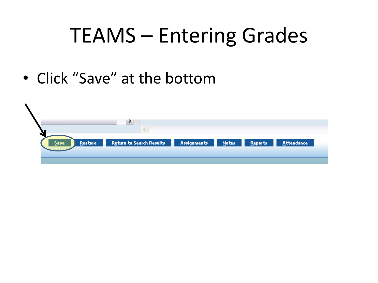• Click "Save" at the bottom

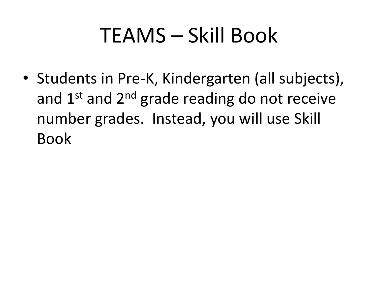• Students in Pre-K, Kindergarten (all subjects), and  $1<sup>st</sup>$  and  $2<sup>nd</sup>$  grade reading do not receive number grades. Instead, you will use Skill Book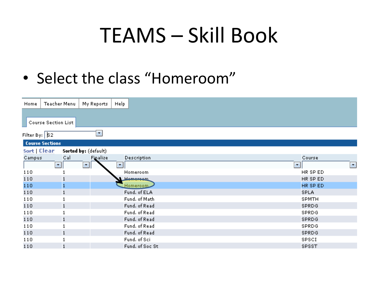• Select the class "Homeroom"

| Home              | Teacher Menu               | My Reports           | Help                           |
|-------------------|----------------------------|----------------------|--------------------------------|
|                   |                            |                      |                                |
|                   | <b>Course Section List</b> |                      |                                |
| Filter By: $ 82 $ |                            | ۰,                   |                                |
|                   | <b>Course Sections</b>     |                      |                                |
| Sort   Clear      |                            | Sorted by: (default) |                                |
| Campus            | Cal                        | Finalize             | Description                    |
|                   | 회                          | 회                    | π.                             |
| 110               |                            |                      | Homeroom                       |
| 110               |                            |                      | He <del>mers</del> em          |
| 110               |                            |                      | Homeroom                       |
| 110               |                            |                      | Fund. of ELA                   |
| 110               |                            |                      | Fund. of Math                  |
| 110               |                            |                      | Fund. of Read<br>Fund. of Read |
| 110<br>110        |                            |                      | Fund. of Read                  |
| 110               |                            |                      | Fund. of Read                  |
| 110               |                            |                      | Fund. of Read                  |
| 110               |                            |                      | Fund, of Sci.                  |
| 110               |                            |                      | Fund, of Soc St.               |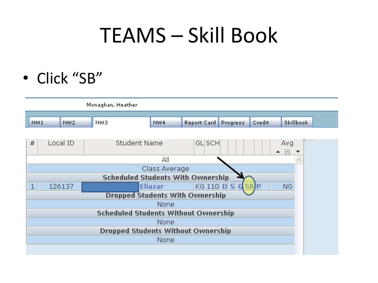• Click "SB"

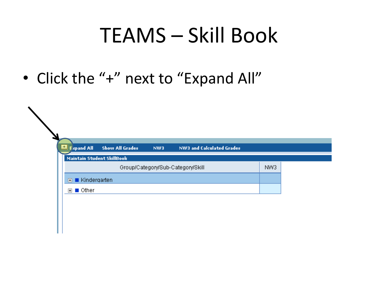• Click the "+" next to "Expand All"

| <b>Ed</b> Expand All            | <b>Show All Grades</b>     | NW3 | <b>NW3 and Calculated Grades</b>  |     |
|---------------------------------|----------------------------|-----|-----------------------------------|-----|
|                                 | Maintain Student SkillBook |     |                                   |     |
|                                 |                            |     | Group/Category/Sub-Category/Skill | NW3 |
| $\blacksquare$ Kindergarten     |                            |     |                                   |     |
| $\boxplus$ $\blacksquare$ Other |                            |     |                                   |     |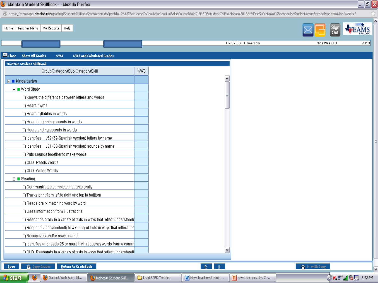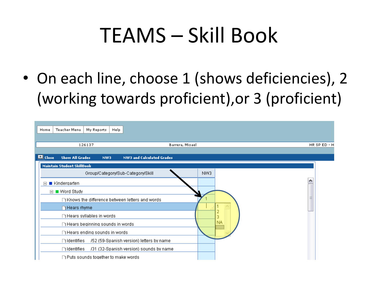• On each line, choose 1 (shows deficiencies), 2 (working towards proficient),or 3 (proficient)

| Home            | <b>Teacher Menu</b><br>My Reports         | Help |                                                  |                 |           |              |  |
|-----------------|-------------------------------------------|------|--------------------------------------------------|-----------------|-----------|--------------|--|
|                 | 126137                                    |      |                                                  | Barrera, Misael |           | HR SP ED - H |  |
| <b>Ed</b> Close | <b>Show All Grades</b>                    | NW3  | <b>NW3 and Calculated Grades</b>                 |                 |           |              |  |
|                 | <b>Maintain Student SkillBook</b>         |      |                                                  |                 |           |              |  |
|                 |                                           |      | Group/Category/Sub-Category/Skill                | NW3             |           |              |  |
| $\boxminus$     | ■ Kindergarten                            |      |                                                  |                 |           | ۸            |  |
|                 | $\Box$ Word Study                         |      |                                                  |                 |           |              |  |
|                 |                                           |      | □ Knows the difference between letters and words |                 |           |              |  |
|                 | <b>Hears</b> rhyme                        |      |                                                  |                 |           |              |  |
|                 | $\Box$ Hears syllables in words           |      |                                                  |                 |           |              |  |
|                 | ∏ Hears beginning sounds in words         |      |                                                  |                 | <b>NA</b> |              |  |
|                 | $\Box$ Hears ending sounds in words       |      |                                                  |                 |           |              |  |
|                 | $\Box$ Identifies                         |      | /52 (59-Spanish version) letters by name         |                 |           |              |  |
|                 | $\Box$ Identifies                         |      | /31 (32-Spanish version) sounds by name          |                 |           |              |  |
|                 | $\Box$ Puts sounds together to make words |      |                                                  |                 |           |              |  |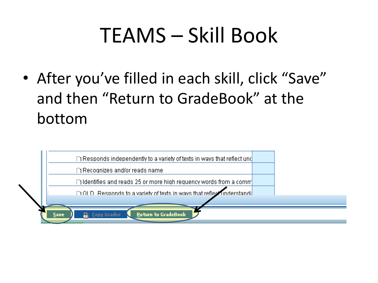• After you've filled in each skill, click "Save" and then "Return to GradeBook" at the bottom

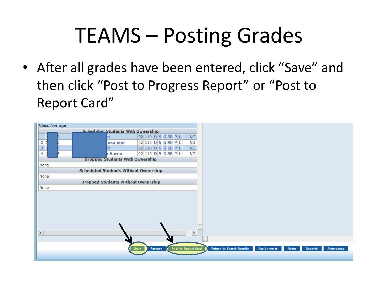# TEAMS – Posting Grades

• After all grades have been entered, click "Save" and then click "Post to Progress Report" or "Post to Report Card"

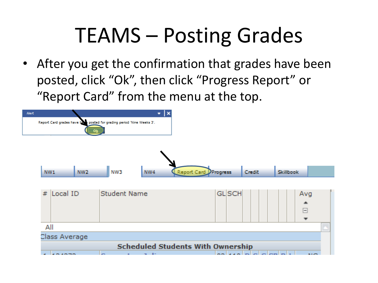# TEAMS – Posting Grades

• After you get the confirmation that grades have been posted, click "Ok", then click "Progress Report" or "Report Card" from the menu at the top.

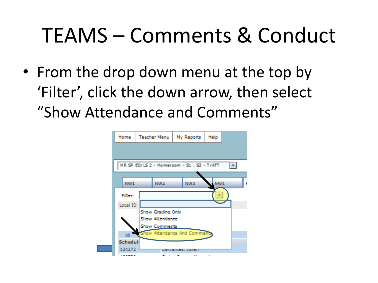# TEAMS – Comments & Conduct

• From the drop down menu at the top by 'Filter', click the down arrow, then select "Show Attendance and Comments"

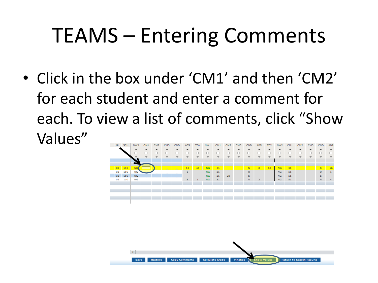## TEAMS – Entering Comments

• Click in the box under 'CM1' and then 'CM2' for each student and enter a comment for each. To view a list of comments, click "Show Values"



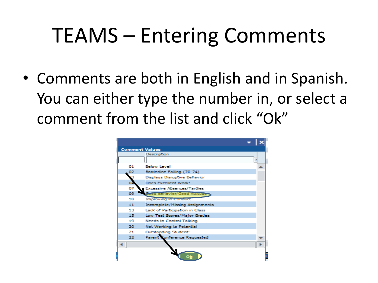### TEAMS – Entering Comments

• Comments are both in English and in Spanish. You can either type the number in, or select a comment from the list and click "Ok"

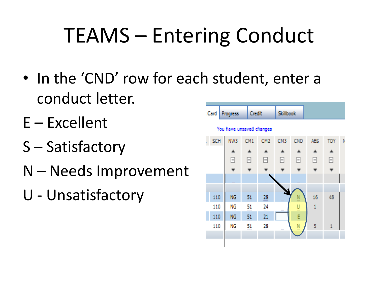# TEAMS – Entering Conduct

- In the 'CND' row for each student, enter a conduct letter.
- E Excellent
- S Satisfactory
- N Needs Improvement
- U Unsatisfactory

| Card | Progress                 | <b>Credit</b>      |                    | <b>Skillbook</b> |                |              |              |   |
|------|--------------------------|--------------------|--------------------|------------------|----------------|--------------|--------------|---|
|      | You have unsaved changes |                    |                    |                  |                |              |              |   |
| SCH  | NW3                      | CM1                | CM <sub>2</sub>    | CM3              | CND            | <b>ABS</b>   | <b>TDY</b>   | N |
|      |                          |                    |                    |                  |                |              |              |   |
|      | F                        | F                  | F                  | F                | F              | H            | ⊟            |   |
|      |                          |                    |                    |                  |                |              |              |   |
|      |                          |                    |                    |                  |                |              |              |   |
|      |                          |                    |                    |                  |                |              |              |   |
| 110  | NG.                      | 51                 | 28                 |                  | N<br>-         | 16           | 48           |   |
| 110  | NG.<br><b>COLOR</b>      | 51<br><b>COLOR</b> | 24<br><b>COLOR</b> | 1000             | U              | $\mathbf{1}$ |              |   |
| 110  | NG.                      | 51                 | 21                 |                  | Ė              |              |              |   |
| 110  | NG<br>an an a            | 51<br>11111        | 28<br><b>COLOR</b> | 100              | N<br>$\sim 10$ | 5            | $\mathbf{1}$ |   |
|      |                          |                    |                    |                  |                |              |              |   |
|      |                          |                    |                    |                  |                |              |              |   |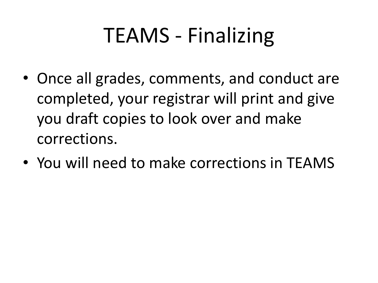- Once all grades, comments, and conduct are completed, your registrar will print and give you draft copies to look over and make corrections.
- You will need to make corrections in TEAMS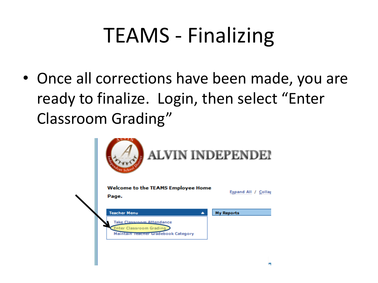• Once all corrections have been made, you are ready to finalize. Login, then select "Enter Classroom Grading"

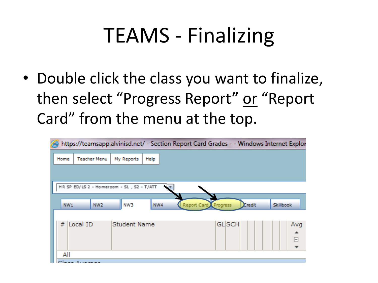• Double click the class you want to finalize, then select "Progress Report" or "Report Card" from the menu at the top.

|                                            | https://teamsapp.alvinisd.net/ - Section Report Card Grades - - Windows Internet Explor |                         |               |           |
|--------------------------------------------|-----------------------------------------------------------------------------------------|-------------------------|---------------|-----------|
| <b>Teacher Menu</b><br>Home                | My Reports<br>Help                                                                      |                         |               |           |
| HR SP ED/LS 2 - Homeroom - S1 , S2 - T/ATT |                                                                                         |                         |               |           |
| NW1<br>NW <sub>2</sub>                     | NW3<br>NW4                                                                              | Report Card<br>Progress | <b>Credit</b> | Skillbook |
| Local ID<br>丑                              | <b>Student Name</b>                                                                     | <b>GL</b> SCH           |               | Avg<br>⊟  |
| All                                        |                                                                                         |                         |               |           |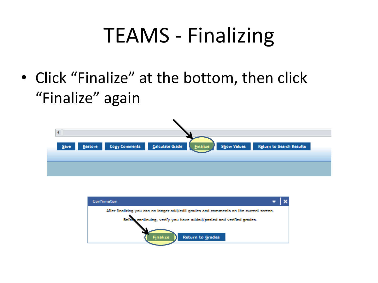• Click "Finalize" at the bottom, then click "Finalize" again



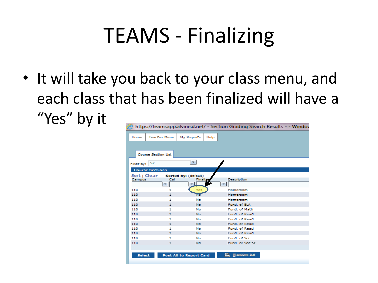• It will take you back to your class menu, and each class that has been finalized will have a "Yes" by it

| Home                   | <b>Teacher Menu</b>        | My Reports                      | Help                      |
|------------------------|----------------------------|---------------------------------|---------------------------|
|                        |                            |                                 |                           |
| Filter By: S2          |                            |                                 |                           |
|                        |                            |                                 |                           |
|                        | <b>Course Section List</b> |                                 |                           |
|                        |                            | ۰.                              |                           |
|                        |                            |                                 |                           |
|                        | <b>Course Sections</b>     |                                 |                           |
| Sort   Clear<br>Campus | Cal                        | Sorted by: (default)<br>Finalis | Description               |
|                        |                            |                                 |                           |
| 110                    |                            |                                 |                           |
| 110                    | 1<br>1                     | Yes<br>No                       | Homeroom<br>Homeroom      |
| 110                    | 1                          | No                              | Homeroom                  |
| 110                    | 1                          | No                              | Fund, of ELA              |
| 110                    | 1                          | No                              | Fund, of Math.            |
| 110                    | 1                          | No                              | Fund, of Read             |
| 110                    | 1                          | No                              | Fund, of Read             |
| 110                    | 1                          | No                              | Fund, of Read             |
| 110                    | 1                          | No                              | Fund, of Read             |
| 110                    | 1                          | No                              | Fund, of Read             |
| 110                    | 1                          | No                              | Fund, of Sci.             |
| 110                    | 1                          | No                              | Fund, of Soc St           |
|                        |                            |                                 |                           |
| <b>Select</b>          |                            | Post All to Report Card         | <b>Finalize All</b><br>E. |